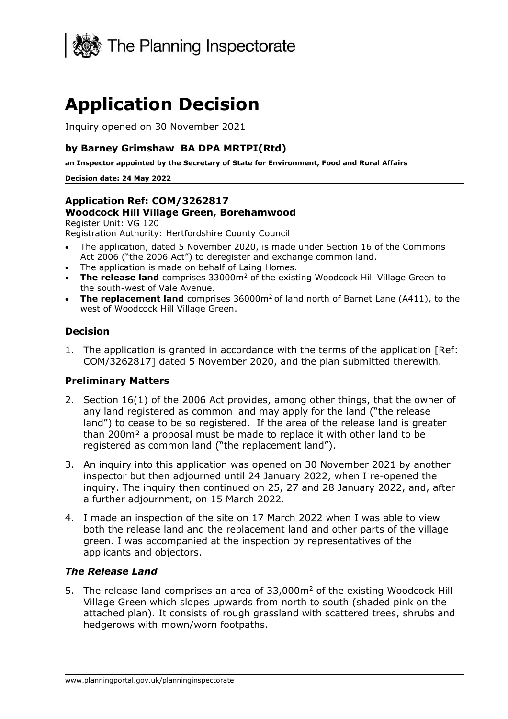

# **Application Decision**

Inquiry opened on 30 November 2021

## **by Barney Grimshaw BA DPA MRTPI(Rtd)**

**an Inspector appointed by the Secretary of State for Environment, Food and Rural Affairs**

#### **Decision date: 24 May 2022**

## **Application Ref: COM/3262817 Woodcock Hill Village Green, Borehamwood**

Register Unit: VG 120 Registration Authority: Hertfordshire County Council

- The application, dated 5 November 2020, is made under Section 16 of the Commons Act 2006 ("the 2006 Act") to deregister and exchange common land.
- The application is made on behalf of Laing Homes.
- **The release land** comprises 33000m<sup>2</sup> of the existing Woodcock Hill Village Green to the south-west of Vale Avenue.
- **The replacement land** comprises 36000m<sup>2</sup> of land north of Barnet Lane (A411), to the west of Woodcock Hill Village Green.

#### **Decision**

1. The application is granted in accordance with the terms of the application [Ref: COM/3262817] dated 5 November 2020, and the plan submitted therewith.

#### **Preliminary Matters**

- 2. Section 16(1) of the 2006 Act provides, among other things, that the owner of any land registered as common land may apply for the land ("the release land") to cease to be so registered. If the area of the release land is greater than 200m² a proposal must be made to replace it with other land to be registered as common land ("the replacement land").
- 3. An inquiry into this application was opened on 30 November 2021 by another inspector but then adjourned until 24 January 2022, when I re-opened the inquiry. The inquiry then continued on 25, 27 and 28 January 2022, and, after a further adjournment, on 15 March 2022.
- 4. I made an inspection of the site on 17 March 2022 when I was able to view both the release land and the replacement land and other parts of the village green. I was accompanied at the inspection by representatives of the applicants and objectors.

#### *The Release Land*

5. The release land comprises an area of 33,000m<sup>2</sup> of the existing Woodcock Hill Village Green which slopes upwards from north to south (shaded pink on the attached plan). It consists of rough grassland with scattered trees, shrubs and hedgerows with mown/worn footpaths.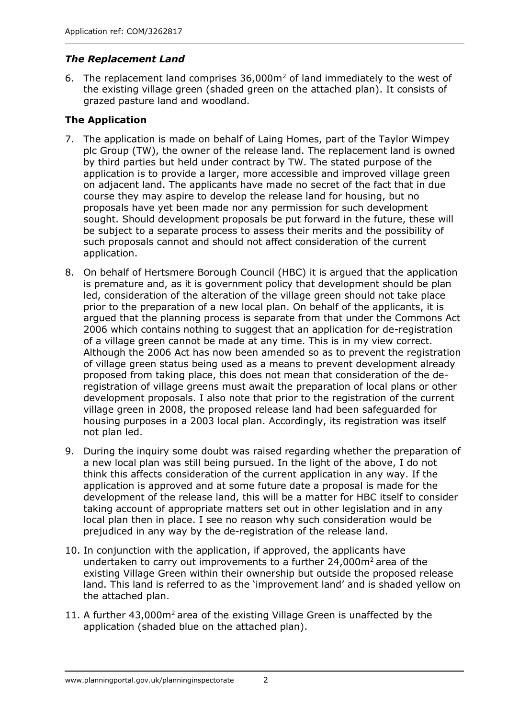## *The Replacement Land*

6. The replacement land comprises 36,000m<sup>2</sup> of land immediately to the west of the existing village green (shaded green on the attached plan). It consists of grazed pasture land and woodland.

## **The Application**

- 7. The application is made on behalf of Laing Homes, part of the Taylor Wimpey plc Group (TW), the owner of the release land. The replacement land is owned by third parties but held under contract by TW. The stated purpose of the application is to provide a larger, more accessible and improved village green on adjacent land. The applicants have made no secret of the fact that in due course they may aspire to develop the release land for housing, but no proposals have yet been made nor any permission for such development sought. Should development proposals be put forward in the future, these will be subject to a separate process to assess their merits and the possibility of such proposals cannot and should not affect consideration of the current application.
- 8. On behalf of Hertsmere Borough Council (HBC) it is argued that the application is premature and, as it is government policy that development should be plan led, consideration of the alteration of the village green should not take place prior to the preparation of a new local plan. On behalf of the applicants, it is argued that the planning process is separate from that under the Commons Act 2006 which contains nothing to suggest that an application for de-registration of a village green cannot be made at any time. This is in my view correct. Although the 2006 Act has now been amended so as to prevent the registration of village green status being used as a means to prevent development already proposed from taking place, this does not mean that consideration of the deregistration of village greens must await the preparation of local plans or other development proposals. I also note that prior to the registration of the current village green in 2008, the proposed release land had been safeguarded for housing purposes in a 2003 local plan. Accordingly, its registration was itself not plan led.
- 9. During the inquiry some doubt was raised regarding whether the preparation of a new local plan was still being pursued. In the light of the above, I do not think this affects consideration of the current application in any way. If the application is approved and at some future date a proposal is made for the development of the release land, this will be a matter for HBC itself to consider taking account of appropriate matters set out in other legislation and in any local plan then in place. I see no reason why such consideration would be prejudiced in any way by the de-registration of the release land.
- 10. In conjunction with the application, if approved, the applicants have undertaken to carry out improvements to a further  $24,000$ m<sup>2</sup> area of the existing Village Green within their ownership but outside the proposed release land. This land is referred to as the 'improvement land' and is shaded yellow on the attached plan.
- 11. A further 43,000m<sup>2</sup> area of the existing Village Green is unaffected by the application (shaded blue on the attached plan).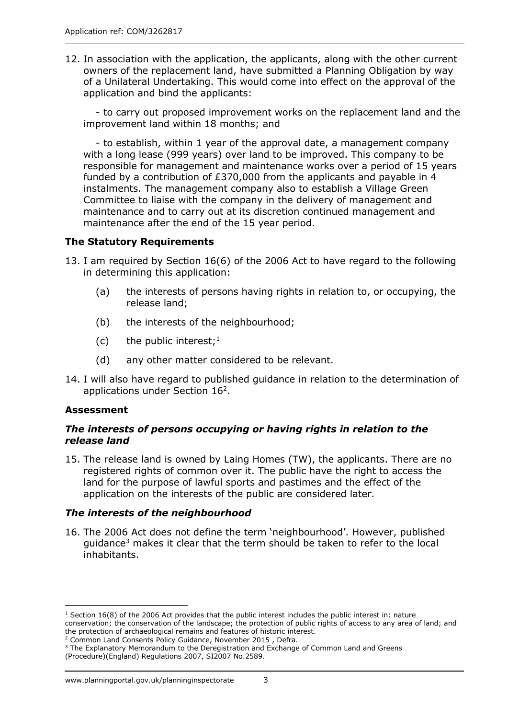12. In association with the application, the applicants, along with the other current owners of the replacement land, have submitted a Planning Obligation by way of a Unilateral Undertaking. This would come into effect on the approval of the application and bind the applicants:

- to carry out proposed improvement works on the replacement land and the improvement land within 18 months; and

- to establish, within 1 year of the approval date, a management company with a long lease (999 years) over land to be improved. This company to be responsible for management and maintenance works over a period of 15 years funded by a contribution of £370,000 from the applicants and payable in 4 instalments. The management company also to establish a Village Green Committee to liaise with the company in the delivery of management and maintenance and to carry out at its discretion continued management and maintenance after the end of the 15 year period.

## **The Statutory Requirements**

- 13. I am required by Section 16(6) of the 2006 Act to have regard to the following in determining this application:
	- (a) the interests of persons having rights in relation to, or occupying, the release land;
	- (b) the interests of the neighbourhood;
	- (c) the public interest;<sup>1</sup>
	- (d) any other matter considered to be relevant.
- 14. I will also have regard to published guidance in relation to the determination of applications under Section  $16<sup>2</sup>$ .

## **Assessment**

#### *The interests of persons occupying or having rights in relation to the release land*

15. The release land is owned by Laing Homes (TW), the applicants. There are no registered rights of common over it. The public have the right to access the land for the purpose of lawful sports and pastimes and the effect of the application on the interests of the public are considered later.

## *The interests of the neighbourhood*

16. The 2006 Act does not define the term 'neighbourhood'. However, published guidance<sup>3</sup> makes it clear that the term should be taken to refer to the local inhabitants.

(Procedure)(England) Regulations 2007, SI2007 No.2589.

 $1$  Section 16(8) of the 2006 Act provides that the public interest includes the public interest in: nature conservation; the conservation of the landscape; the protection of public rights of access to any area of land; and the protection of archaeological remains and features of historic interest.

<sup>&</sup>lt;sup>2</sup> Common Land Consents Policy Guidance, November 2015, Defra.

<sup>&</sup>lt;sup>3</sup> The Explanatory Memorandum to the Deregistration and Exchange of Common Land and Greens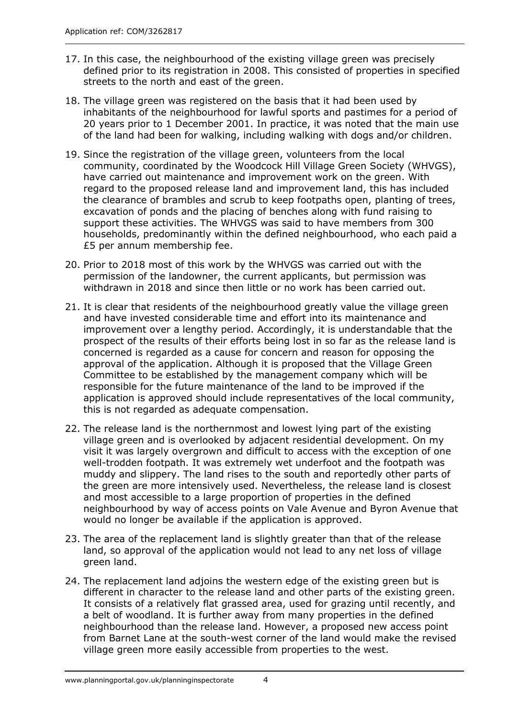- 17. In this case, the neighbourhood of the existing village green was precisely defined prior to its registration in 2008. This consisted of properties in specified streets to the north and east of the green.
- 18. The village green was registered on the basis that it had been used by inhabitants of the neighbourhood for lawful sports and pastimes for a period of 20 years prior to 1 December 2001. In practice, it was noted that the main use of the land had been for walking, including walking with dogs and/or children.
- 19. Since the registration of the village green, volunteers from the local community, coordinated by the Woodcock Hill Village Green Society (WHVGS), have carried out maintenance and improvement work on the green. With regard to the proposed release land and improvement land, this has included the clearance of brambles and scrub to keep footpaths open, planting of trees, excavation of ponds and the placing of benches along with fund raising to support these activities. The WHVGS was said to have members from 300 households, predominantly within the defined neighbourhood, who each paid a £5 per annum membership fee.
- 20. Prior to 2018 most of this work by the WHVGS was carried out with the permission of the landowner, the current applicants, but permission was withdrawn in 2018 and since then little or no work has been carried out.
- 21. It is clear that residents of the neighbourhood greatly value the village green and have invested considerable time and effort into its maintenance and improvement over a lengthy period. Accordingly, it is understandable that the prospect of the results of their efforts being lost in so far as the release land is concerned is regarded as a cause for concern and reason for opposing the approval of the application. Although it is proposed that the Village Green Committee to be established by the management company which will be responsible for the future maintenance of the land to be improved if the application is approved should include representatives of the local community, this is not regarded as adequate compensation.
- 22. The release land is the northernmost and lowest lying part of the existing village green and is overlooked by adjacent residential development. On my visit it was largely overgrown and difficult to access with the exception of one well-trodden footpath. It was extremely wet underfoot and the footpath was muddy and slippery. The land rises to the south and reportedly other parts of the green are more intensively used. Nevertheless, the release land is closest and most accessible to a large proportion of properties in the defined neighbourhood by way of access points on Vale Avenue and Byron Avenue that would no longer be available if the application is approved.
- 23. The area of the replacement land is slightly greater than that of the release land, so approval of the application would not lead to any net loss of village green land.
- 24. The replacement land adjoins the western edge of the existing green but is different in character to the release land and other parts of the existing green. It consists of a relatively flat grassed area, used for grazing until recently, and a belt of woodland. It is further away from many properties in the defined neighbourhood than the release land. However, a proposed new access point from Barnet Lane at the south-west corner of the land would make the revised village green more easily accessible from properties to the west.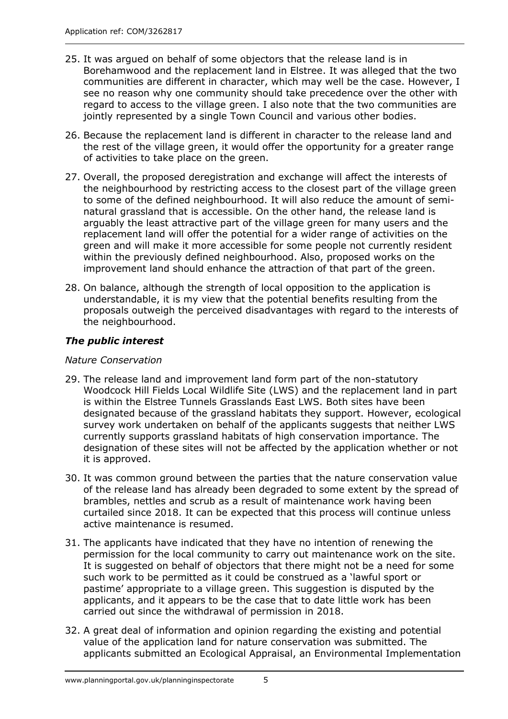- 25. It was argued on behalf of some objectors that the release land is in Borehamwood and the replacement land in Elstree. It was alleged that the two communities are different in character, which may well be the case. However, I see no reason why one community should take precedence over the other with regard to access to the village green. I also note that the two communities are jointly represented by a single Town Council and various other bodies.
- 26. Because the replacement land is different in character to the release land and the rest of the village green, it would offer the opportunity for a greater range of activities to take place on the green.
- 27. Overall, the proposed deregistration and exchange will affect the interests of the neighbourhood by restricting access to the closest part of the village green to some of the defined neighbourhood. It will also reduce the amount of seminatural grassland that is accessible. On the other hand, the release land is arguably the least attractive part of the village green for many users and the replacement land will offer the potential for a wider range of activities on the green and will make it more accessible for some people not currently resident within the previously defined neighbourhood. Also, proposed works on the improvement land should enhance the attraction of that part of the green.
- 28. On balance, although the strength of local opposition to the application is understandable, it is my view that the potential benefits resulting from the proposals outweigh the perceived disadvantages with regard to the interests of the neighbourhood.

## *The public interest*

#### *Nature Conservation*

- 29. The release land and improvement land form part of the non-statutory Woodcock Hill Fields Local Wildlife Site (LWS) and the replacement land in part is within the Elstree Tunnels Grasslands East LWS. Both sites have been designated because of the grassland habitats they support. However, ecological survey work undertaken on behalf of the applicants suggests that neither LWS currently supports grassland habitats of high conservation importance. The designation of these sites will not be affected by the application whether or not it is approved.
- 30. It was common ground between the parties that the nature conservation value of the release land has already been degraded to some extent by the spread of brambles, nettles and scrub as a result of maintenance work having been curtailed since 2018. It can be expected that this process will continue unless active maintenance is resumed.
- 31. The applicants have indicated that they have no intention of renewing the permission for the local community to carry out maintenance work on the site. It is suggested on behalf of objectors that there might not be a need for some such work to be permitted as it could be construed as a 'lawful sport or pastime' appropriate to a village green. This suggestion is disputed by the applicants, and it appears to be the case that to date little work has been carried out since the withdrawal of permission in 2018.
- 32. A great deal of information and opinion regarding the existing and potential value of the application land for nature conservation was submitted. The applicants submitted an Ecological Appraisal, an Environmental Implementation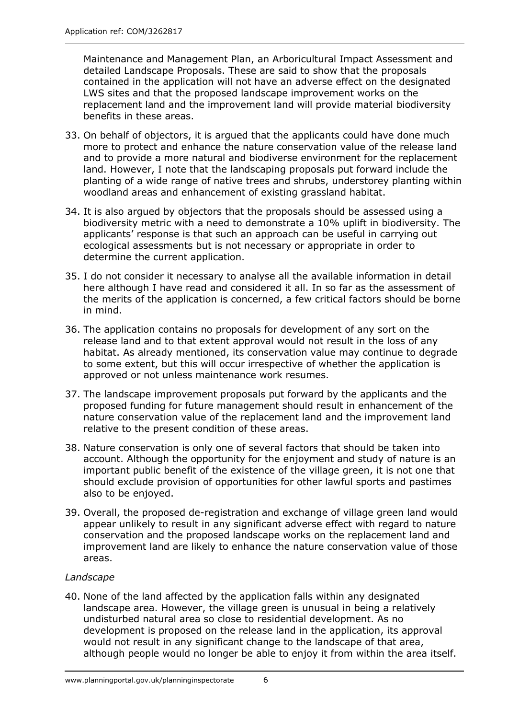Maintenance and Management Plan, an Arboricultural Impact Assessment and detailed Landscape Proposals. These are said to show that the proposals contained in the application will not have an adverse effect on the designated LWS sites and that the proposed landscape improvement works on the replacement land and the improvement land will provide material biodiversity benefits in these areas.

- 33. On behalf of objectors, it is argued that the applicants could have done much more to protect and enhance the nature conservation value of the release land and to provide a more natural and biodiverse environment for the replacement land. However, I note that the landscaping proposals put forward include the planting of a wide range of native trees and shrubs, understorey planting within woodland areas and enhancement of existing grassland habitat.
- 34. It is also argued by objectors that the proposals should be assessed using a biodiversity metric with a need to demonstrate a 10% uplift in biodiversity. The applicants' response is that such an approach can be useful in carrying out ecological assessments but is not necessary or appropriate in order to determine the current application.
- 35. I do not consider it necessary to analyse all the available information in detail here although I have read and considered it all. In so far as the assessment of the merits of the application is concerned, a few critical factors should be borne in mind.
- 36. The application contains no proposals for development of any sort on the release land and to that extent approval would not result in the loss of any habitat. As already mentioned, its conservation value may continue to degrade to some extent, but this will occur irrespective of whether the application is approved or not unless maintenance work resumes.
- 37. The landscape improvement proposals put forward by the applicants and the proposed funding for future management should result in enhancement of the nature conservation value of the replacement land and the improvement land relative to the present condition of these areas.
- 38. Nature conservation is only one of several factors that should be taken into account. Although the opportunity for the enjoyment and study of nature is an important public benefit of the existence of the village green, it is not one that should exclude provision of opportunities for other lawful sports and pastimes also to be enjoyed.
- 39. Overall, the proposed de-registration and exchange of village green land would appear unlikely to result in any significant adverse effect with regard to nature conservation and the proposed landscape works on the replacement land and improvement land are likely to enhance the nature conservation value of those areas.

## *Landscape*

40. None of the land affected by the application falls within any designated landscape area. However, the village green is unusual in being a relatively undisturbed natural area so close to residential development. As no development is proposed on the release land in the application, its approval would not result in any significant change to the landscape of that area, although people would no longer be able to enjoy it from within the area itself.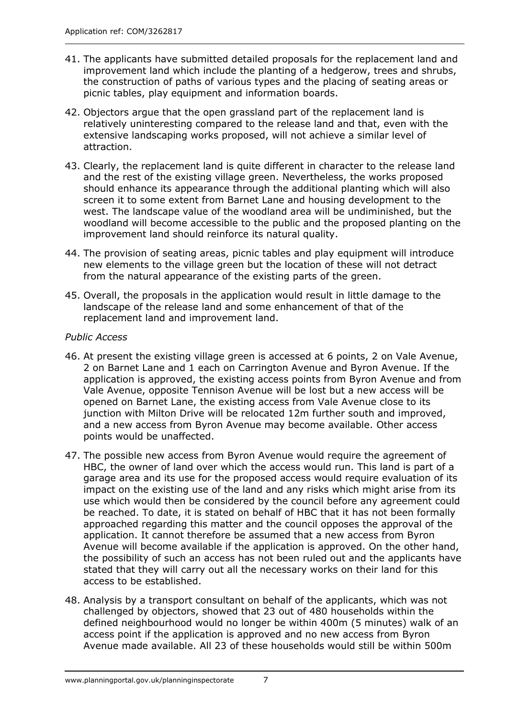- 41. The applicants have submitted detailed proposals for the replacement land and improvement land which include the planting of a hedgerow, trees and shrubs, the construction of paths of various types and the placing of seating areas or picnic tables, play equipment and information boards.
- 42. Objectors argue that the open grassland part of the replacement land is relatively uninteresting compared to the release land and that, even with the extensive landscaping works proposed, will not achieve a similar level of attraction.
- 43. Clearly, the replacement land is quite different in character to the release land and the rest of the existing village green. Nevertheless, the works proposed should enhance its appearance through the additional planting which will also screen it to some extent from Barnet Lane and housing development to the west. The landscape value of the woodland area will be undiminished, but the woodland will become accessible to the public and the proposed planting on the improvement land should reinforce its natural quality.
- 44. The provision of seating areas, picnic tables and play equipment will introduce new elements to the village green but the location of these will not detract from the natural appearance of the existing parts of the green.
- 45. Overall, the proposals in the application would result in little damage to the landscape of the release land and some enhancement of that of the replacement land and improvement land.

#### *Public Access*

- 46. At present the existing village green is accessed at 6 points, 2 on Vale Avenue, 2 on Barnet Lane and 1 each on Carrington Avenue and Byron Avenue. If the application is approved, the existing access points from Byron Avenue and from Vale Avenue, opposite Tennison Avenue will be lost but a new access will be opened on Barnet Lane, the existing access from Vale Avenue close to its junction with Milton Drive will be relocated 12m further south and improved, and a new access from Byron Avenue may become available. Other access points would be unaffected.
- 47. The possible new access from Byron Avenue would require the agreement of HBC, the owner of land over which the access would run. This land is part of a garage area and its use for the proposed access would require evaluation of its impact on the existing use of the land and any risks which might arise from its use which would then be considered by the council before any agreement could be reached. To date, it is stated on behalf of HBC that it has not been formally approached regarding this matter and the council opposes the approval of the application. It cannot therefore be assumed that a new access from Byron Avenue will become available if the application is approved. On the other hand, the possibility of such an access has not been ruled out and the applicants have stated that they will carry out all the necessary works on their land for this access to be established.
- 48. Analysis by a transport consultant on behalf of the applicants, which was not challenged by objectors, showed that 23 out of 480 households within the defined neighbourhood would no longer be within 400m (5 minutes) walk of an access point if the application is approved and no new access from Byron Avenue made available. All 23 of these households would still be within 500m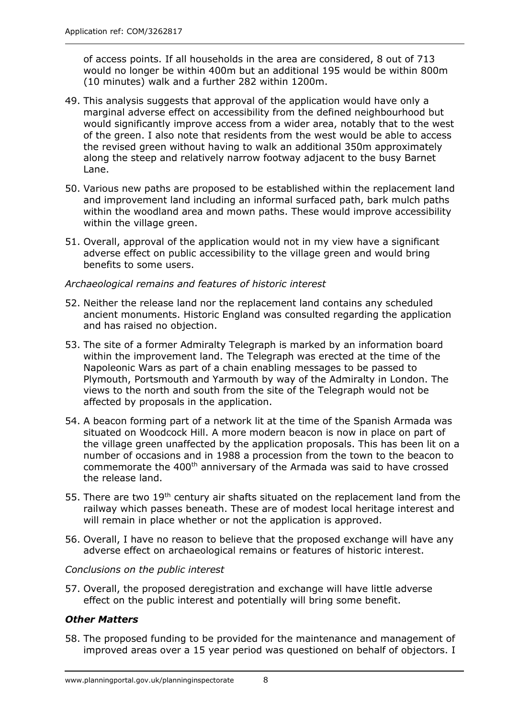of access points. If all households in the area are considered, 8 out of 713 would no longer be within 400m but an additional 195 would be within 800m (10 minutes) walk and a further 282 within 1200m.

- 49. This analysis suggests that approval of the application would have only a marginal adverse effect on accessibility from the defined neighbourhood but would significantly improve access from a wider area, notably that to the west of the green. I also note that residents from the west would be able to access the revised green without having to walk an additional 350m approximately along the steep and relatively narrow footway adjacent to the busy Barnet Lane.
- 50. Various new paths are proposed to be established within the replacement land and improvement land including an informal surfaced path, bark mulch paths within the woodland area and mown paths. These would improve accessibility within the village green.
- 51. Overall, approval of the application would not in my view have a significant adverse effect on public accessibility to the village green and would bring benefits to some users.

#### *Archaeological remains and features of historic interest*

- 52. Neither the release land nor the replacement land contains any scheduled ancient monuments. Historic England was consulted regarding the application and has raised no objection.
- 53. The site of a former Admiralty Telegraph is marked by an information board within the improvement land. The Telegraph was erected at the time of the Napoleonic Wars as part of a chain enabling messages to be passed to Plymouth, Portsmouth and Yarmouth by way of the Admiralty in London. The views to the north and south from the site of the Telegraph would not be affected by proposals in the application.
- 54. A beacon forming part of a network lit at the time of the Spanish Armada was situated on Woodcock Hill. A more modern beacon is now in place on part of the village green unaffected by the application proposals. This has been lit on a number of occasions and in 1988 a procession from the town to the beacon to commemorate the 400<sup>th</sup> anniversary of the Armada was said to have crossed the release land.
- 55. There are two 19<sup>th</sup> century air shafts situated on the replacement land from the railway which passes beneath. These are of modest local heritage interest and will remain in place whether or not the application is approved.
- 56. Overall, I have no reason to believe that the proposed exchange will have any adverse effect on archaeological remains or features of historic interest.

#### *Conclusions on the public interest*

57. Overall, the proposed deregistration and exchange will have little adverse effect on the public interest and potentially will bring some benefit.

## *Other Matters*

58. The proposed funding to be provided for the maintenance and management of improved areas over a 15 year period was questioned on behalf of objectors. I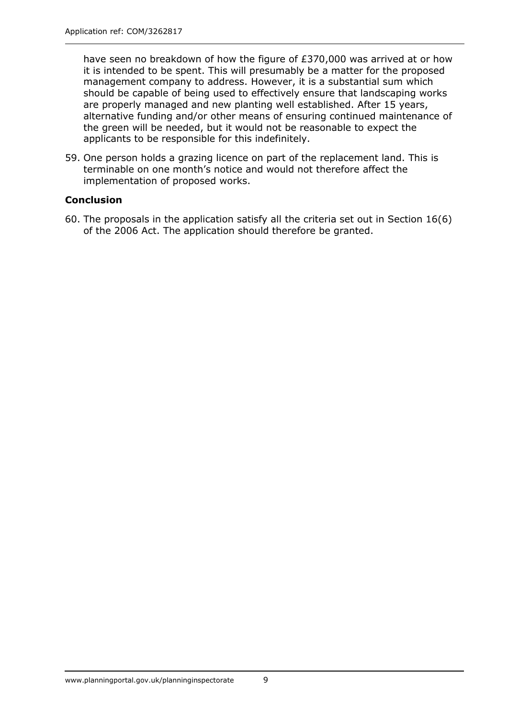have seen no breakdown of how the figure of £370,000 was arrived at or how it is intended to be spent. This will presumably be a matter for the proposed management company to address. However, it is a substantial sum which should be capable of being used to effectively ensure that landscaping works are properly managed and new planting well established. After 15 years, alternative funding and/or other means of ensuring continued maintenance of the green will be needed, but it would not be reasonable to expect the applicants to be responsible for this indefinitely.

59. One person holds a grazing licence on part of the replacement land. This is terminable on one month's notice and would not therefore affect the implementation of proposed works.

## **Conclusion**

60. The proposals in the application satisfy all the criteria set out in Section 16(6) of the 2006 Act. The application should therefore be granted.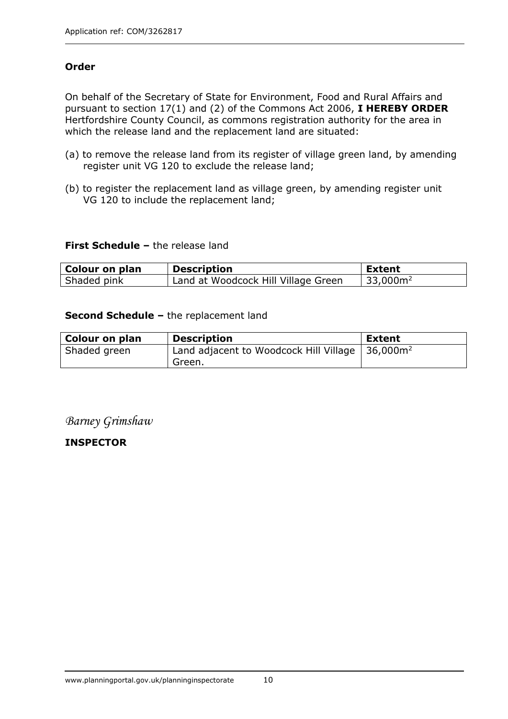## **Order**

On behalf of the Secretary of State for Environment, Food and Rural Affairs and pursuant to section 17(1) and (2) of the Commons Act 2006, **I HEREBY ORDER** Hertfordshire County Council, as commons registration authority for the area in which the release land and the replacement land are situated:

- (a) to remove the release land from its register of village green land, by amending register unit VG 120 to exclude the release land;
- (b) to register the replacement land as village green, by amending register unit VG 120 to include the replacement land;

#### **First Schedule –** the release land

| Colour on plan | <b>Description</b>                  | Extent                |
|----------------|-------------------------------------|-----------------------|
| Shaded pink    | Land at Woodcock Hill Village Green | 133,000m <sup>2</sup> |

#### **Second Schedule –** the replacement land

| <b>Colour on plan</b> | <b>Description</b>                                                            | <b>Extent</b> |
|-----------------------|-------------------------------------------------------------------------------|---------------|
| Shaded green          | Land adjacent to Woodcock Hill Village $\vert$ 36,000m <sup>2</sup><br>Green. |               |

## *Barney Grimshaw*

**INSPECTOR**